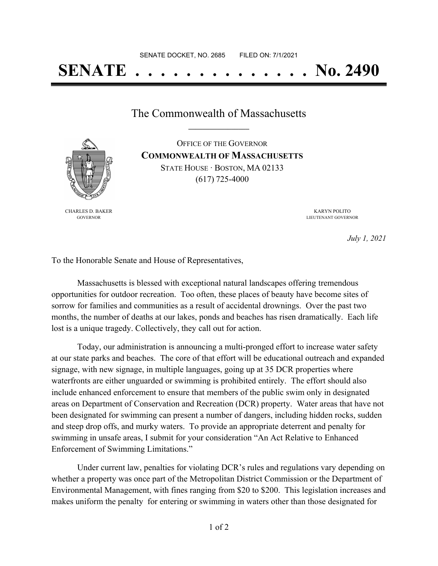## **SENATE . . . . . . . . . . . . . . No. 2490**

The Commonwealth of Massachusetts **\_\_\_\_\_\_\_\_\_\_\_\_\_\_\_\_\_**

OFFICE OF THE GOVERNOR **COMMONWEALTH OF MASSACHUSETTS** STATE HOUSE · BOSTON, MA 02133 (617) 725-4000

CHARLES D. BAKER GOVERNOR

KARYN POLITO LIEUTENANT GOVERNOR

*July 1, 2021*

To the Honorable Senate and House of Representatives,

Massachusetts is blessed with exceptional natural landscapes offering tremendous opportunities for outdoor recreation. Too often, these places of beauty have become sites of sorrow for families and communities as a result of accidental drownings. Over the past two months, the number of deaths at our lakes, ponds and beaches has risen dramatically. Each life lost is a unique tragedy. Collectively, they call out for action.

Today, our administration is announcing a multi-pronged effort to increase water safety at our state parks and beaches. The core of that effort will be educational outreach and expanded signage, with new signage, in multiple languages, going up at 35 DCR properties where waterfronts are either unguarded or swimming is prohibited entirely. The effort should also include enhanced enforcement to ensure that members of the public swim only in designated areas on Department of Conservation and Recreation (DCR) property. Water areas that have not been designated for swimming can present a number of dangers, including hidden rocks, sudden and steep drop offs, and murky waters. To provide an appropriate deterrent and penalty for swimming in unsafe areas, I submit for your consideration "An Act Relative to Enhanced Enforcement of Swimming Limitations."

Under current law, penalties for violating DCR's rules and regulations vary depending on whether a property was once part of the Metropolitan District Commission or the Department of Environmental Management, with fines ranging from \$20 to \$200. This legislation increases and makes uniform the penalty for entering or swimming in waters other than those designated for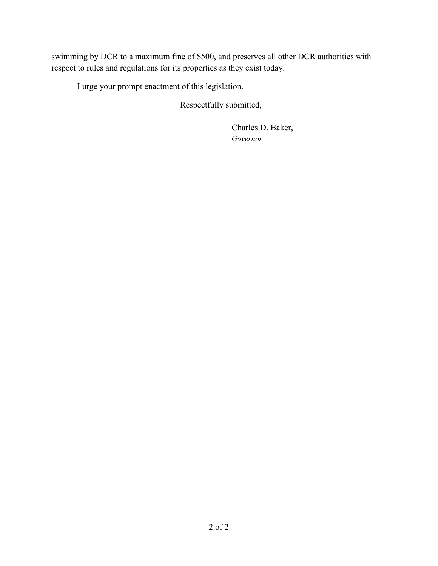swimming by DCR to a maximum fine of \$500, and preserves all other DCR authorities with respect to rules and regulations for its properties as they exist today.

I urge your prompt enactment of this legislation.

Respectfully submitted,

Charles D. Baker, *Governor*